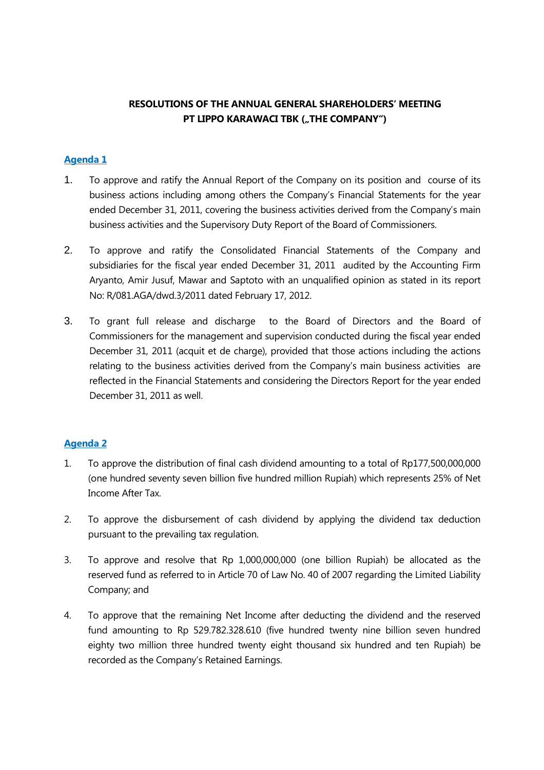# **RESOLUTIONS OF THE ANNUAL GENERAL SHAREHOLDERS' MEETING PT LIPPO KARAWACI TBK ("THE COMPANY")**

## **Agenda 1**

- 1. To approve and ratify the Annual Report of the Company on its position and course of its business actions including among others the Company's Financial Statements for the year ended December 31, 2011, covering the business activities derived from the Company's main business activities and the Supervisory Duty Report of the Board of Commissioners.
- 2. To approve and ratify the Consolidated Financial Statements of the Company and subsidiaries for the fiscal year ended December 31, 2011 audited by the Accounting Firm Aryanto, Amir Jusuf, Mawar and Saptoto with an unqualified opinion as stated in its report No: R/081.AGA/dwd.3/2011 dated February 17, 2012.
- 3. To grant full release and discharge to the Board of Directors and the Board of Commissioners for the management and supervision conducted during the fiscal year ended December 31, 2011 (acquit et de charge), provided that those actions including the actions relating to the business activities derived from the Company's main business activities are reflected in the Financial Statements and considering the Directors Report for the year ended December 31, 2011 as well.

## **Agenda 2**

- 1. To approve the distribution of final cash dividend amounting to a total of Rp177,500,000,000 (one hundred seventy seven billion five hundred million Rupiah) which represents 25% of Net Income After Tax.
- 2. To approve the disbursement of cash dividend by applying the dividend tax deduction pursuant to the prevailing tax regulation.
- 3. To approve and resolve that Rp 1,000,000,000 (one billion Rupiah) be allocated as the reserved fund as referred to in Article 70 of Law No. 40 of 2007 regarding the Limited Liability Company; and
- 4. To approve that the remaining Net Income after deducting the dividend and the reserved fund amounting to Rp 529.782.328.610 (five hundred twenty nine billion seven hundred eighty two million three hundred twenty eight thousand six hundred and ten Rupiah) be recorded as the Company's Retained Earnings.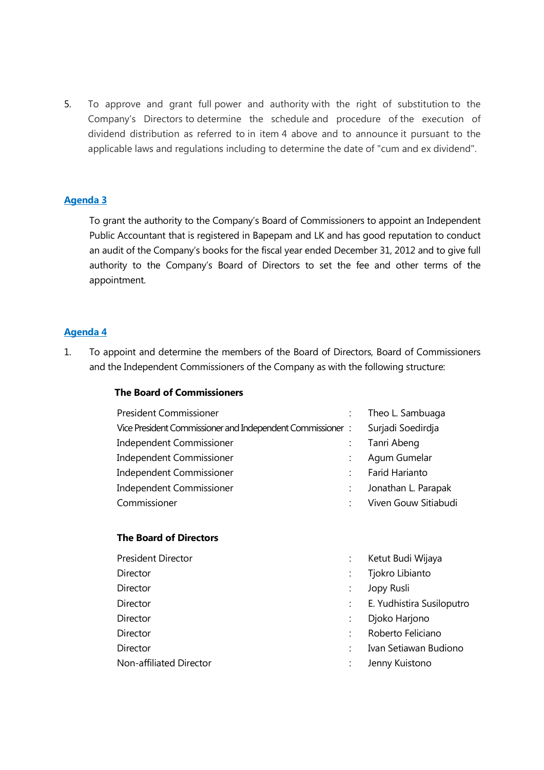5. To approve and grant full power and authority with the right of substitution to the Company's Directors to determine the schedule and procedure of the execution of dividend distribution as referred to in item 4 above and to announce it pursuant to the applicable laws and regulations including to determine the date of "cum and ex dividend".

## **Agenda 3**

To grant the authority to the Company's Board of Commissioners to appoint an Independent Public Accountant that is registered in Bapepam and LK and has good reputation to conduct an audit of the Company's books for the fiscal year ended December 31, 2012 and to give full authority to the Company's Board of Directors to set the fee and other terms of the appointment.

### **Agenda 4**

1. To appoint and determine the members of the Board of Directors, Board of Commissioners and the Independent Commissioners of the Company as with the following structure:

#### **The Board of Commissioners**

| <b>President Commissioner</b>                             | Theo L. Sambuaga     |
|-----------------------------------------------------------|----------------------|
| Vice President Commissioner and Independent Commissioner: | Surjadi Soedirdja    |
| Independent Commissioner                                  | Tanri Abeng          |
| Independent Commissioner                                  | Agum Gumelar         |
| <b>Independent Commissioner</b>                           | Farid Harianto       |
| Independent Commissioner                                  | Jonathan L. Parapak  |
| Commissioner                                              | Viven Gouw Sitiabudi |

### **The Board of Directors**

| President Director      | Ketut Budi Wijaya         |
|-------------------------|---------------------------|
| Director                | Tjokro Libianto           |
| <b>Director</b>         | Jopy Rusli                |
| Director                | E. Yudhistira Susiloputro |
| <b>Director</b>         | Djoko Harjono             |
| <b>Director</b>         | Roberto Feliciano         |
| <b>Director</b>         | Ivan Setiawan Budiono     |
| Non-affiliated Director | Jenny Kuistono            |